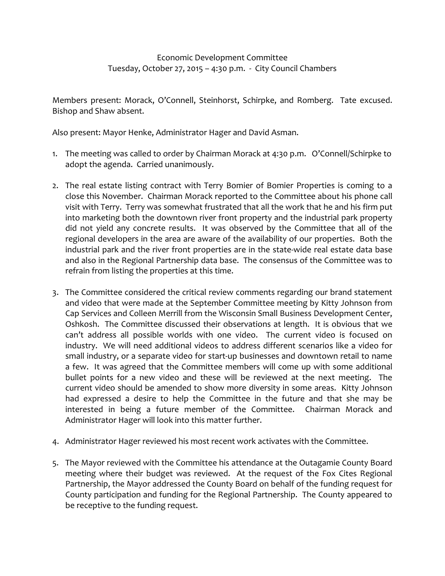## Economic Development Committee Tuesday, October 27, 2015 – 4:30 p.m. - City Council Chambers

Members present: Morack, O'Connell, Steinhorst, Schirpke, and Romberg. Tate excused. Bishop and Shaw absent.

Also present: Mayor Henke, Administrator Hager and David Asman.

- 1. The meeting was called to order by Chairman Morack at 4:30 p.m. O'Connell/Schirpke to adopt the agenda. Carried unanimously.
- 2. The real estate listing contract with Terry Bomier of Bomier Properties is coming to a close this November. Chairman Morack reported to the Committee about his phone call visit with Terry. Terry was somewhat frustrated that all the work that he and his firm put into marketing both the downtown river front property and the industrial park property did not yield any concrete results. It was observed by the Committee that all of the regional developers in the area are aware of the availability of our properties. Both the industrial park and the river front properties are in the state-wide real estate data base and also in the Regional Partnership data base. The consensus of the Committee was to refrain from listing the properties at this time.
- 3. The Committee considered the critical review comments regarding our brand statement and video that were made at the September Committee meeting by Kitty Johnson from Cap Services and Colleen Merrill from the Wisconsin Small Business Development Center, Oshkosh. The Committee discussed their observations at length. It is obvious that we can't address all possible worlds with one video. The current video is focused on industry. We will need additional videos to address different scenarios like a video for small industry, or a separate video for start-up businesses and downtown retail to name a few. It was agreed that the Committee members will come up with some additional bullet points for a new video and these will be reviewed at the next meeting. The current video should be amended to show more diversity in some areas. Kitty Johnson had expressed a desire to help the Committee in the future and that she may be interested in being a future member of the Committee. Chairman Morack and Administrator Hager will look into this matter further.
- 4. Administrator Hager reviewed his most recent work activates with the Committee.
- 5. The Mayor reviewed with the Committee his attendance at the Outagamie County Board meeting where their budget was reviewed. At the request of the Fox Cites Regional Partnership, the Mayor addressed the County Board on behalf of the funding request for County participation and funding for the Regional Partnership. The County appeared to be receptive to the funding request.